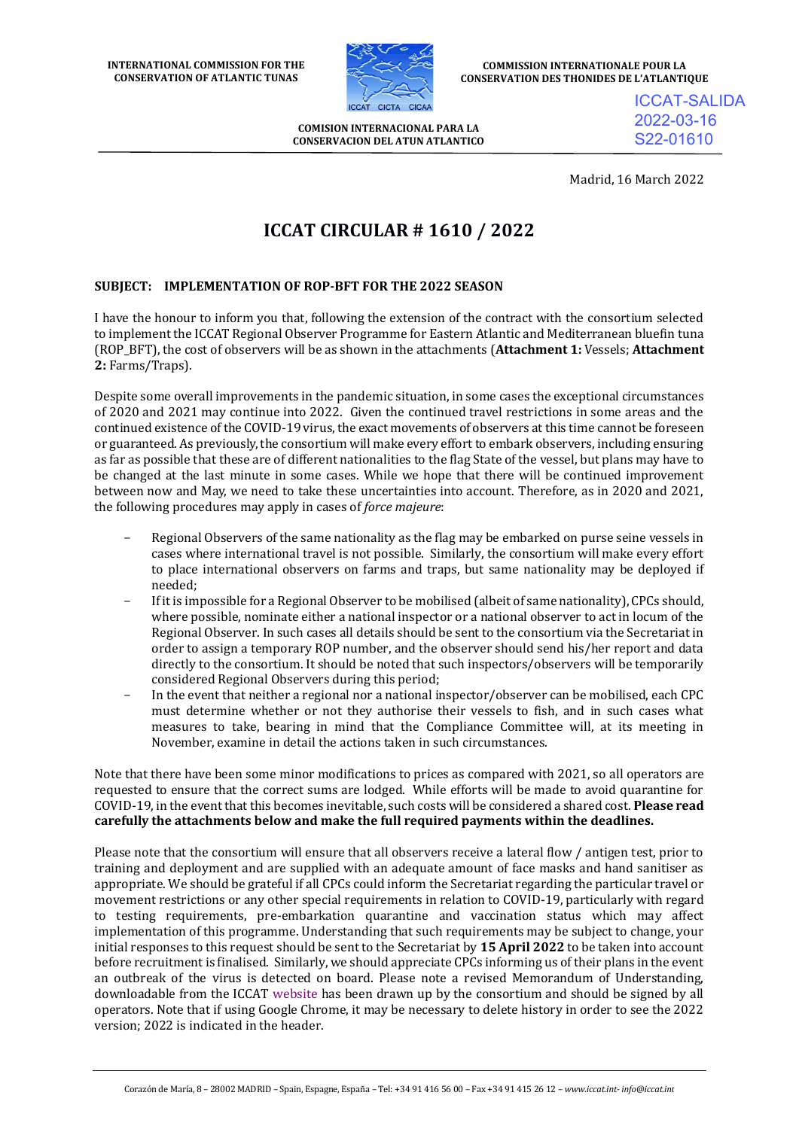

**COMMISSION INTERNATIONALE POUR LA CONSERVATION DES THONIDES DE L'ATLANTIQUE**

**COMISION INTERNACIONAL PARA LA CONSERVACION DEL ATUN ATLANTICO** ICCAT-SALIDA 2022-03-16 S22-01610

Madrid, 16 March 2022

# **ICCAT CIRCULAR # 1610 / 2022**

# **SUBJECT: IMPLEMENTATION OF ROP-BFT FOR THE 2022 SEASON**

I have the honour to inform you that, following the extension of the contract with the consortium selected to implement the ICCAT Regional Observer Programme for Eastern Atlantic and Mediterranean bluefin tuna (ROP\_BFT), the cost of observers will be as shown in the attachments (**Attachment 1:** Vessels; **Attachment 2:** Farms/Traps).

Despite some overall improvements in the pandemic situation, in some cases the exceptional circumstances of 2020 and 2021 may continue into 2022. Given the continued travel restrictions in some areas and the continued existence of the COVID-19 virus, the exact movements of observers at this time cannot be foreseen or guaranteed. As previously, the consortium will make every effort to embark observers, including ensuring as far as possible that these are of different nationalities to the flag State of the vessel, but plans may have to be changed at the last minute in some cases. While we hope that there will be continued improvement between now and May, we need to take these uncertainties into account. Therefore, as in 2020 and 2021, the following procedures may apply in cases of *force majeure*:

- Regional Observers of the same nationality as the flag may be embarked on purse seine vessels in cases where international travel is not possible. Similarly, the consortium will make every effort to place international observers on farms and traps, but same nationality may be deployed if needed;
- If it is impossible for a Regional Observer to be mobilised (albeit of same nationality), CPCs should, where possible, nominate either a national inspector or a national observer to act in locum of the Regional Observer. In such cases all details should be sent to the consortium via the Secretariat in order to assign a temporary ROP number, and the observer should send his/her report and data directly to the consortium. It should be noted that such inspectors/observers will be temporarily considered Regional Observers during this period;
- In the event that neither a regional nor a national inspector/observer can be mobilised, each CPC must determine whether or not they authorise their vessels to fish, and in such cases what measures to take, bearing in mind that the Compliance Committee will, at its meeting in November, examine in detail the actions taken in such circumstances.

Note that there have been some minor modifications to prices as compared with 2021, so all operators are requested to ensure that the correct sums are lodged. While efforts will be made to avoid quarantine for COVID-19, in the event that this becomes inevitable, such costs will be considered a shared cost. **Please read carefully the attachments below and make the full required payments within the deadlines.** 

Please note that the consortium will ensure that all observers receive a lateral flow / antigen test, prior to training and deployment and are supplied with an adequate amount of face masks and hand sanitiser as appropriate. We should be grateful if all CPCs could inform the Secretariat regarding the particular travel or movement restrictions or any other special requirements in relation to COVID-19, particularly with regard to testing requirements, pre-embarkation quarantine and vaccination status which may affect implementation of this programme. Understanding that such requirements may be subject to change, your initial responses to this request should be sent to the Secretariat by **15 April 2022** to be taken into account before recruitment is finalised. Similarly, we should appreciate CPCs informing us of their plans in the event an outbreak of the virus is detected on board. Please note a revised Memorandum of Understanding, downloadable from the ICCAT [website](https://www.iccat.int/Documents/Comply/ICCAT_BFT_ROP_MOU_2022_ENG.PDF) has been drawn up by the consortium and should be signed by all operators. Note that if using Google Chrome, it may be necessary to delete history in order to see the 2022 version; 2022 is indicated in the header.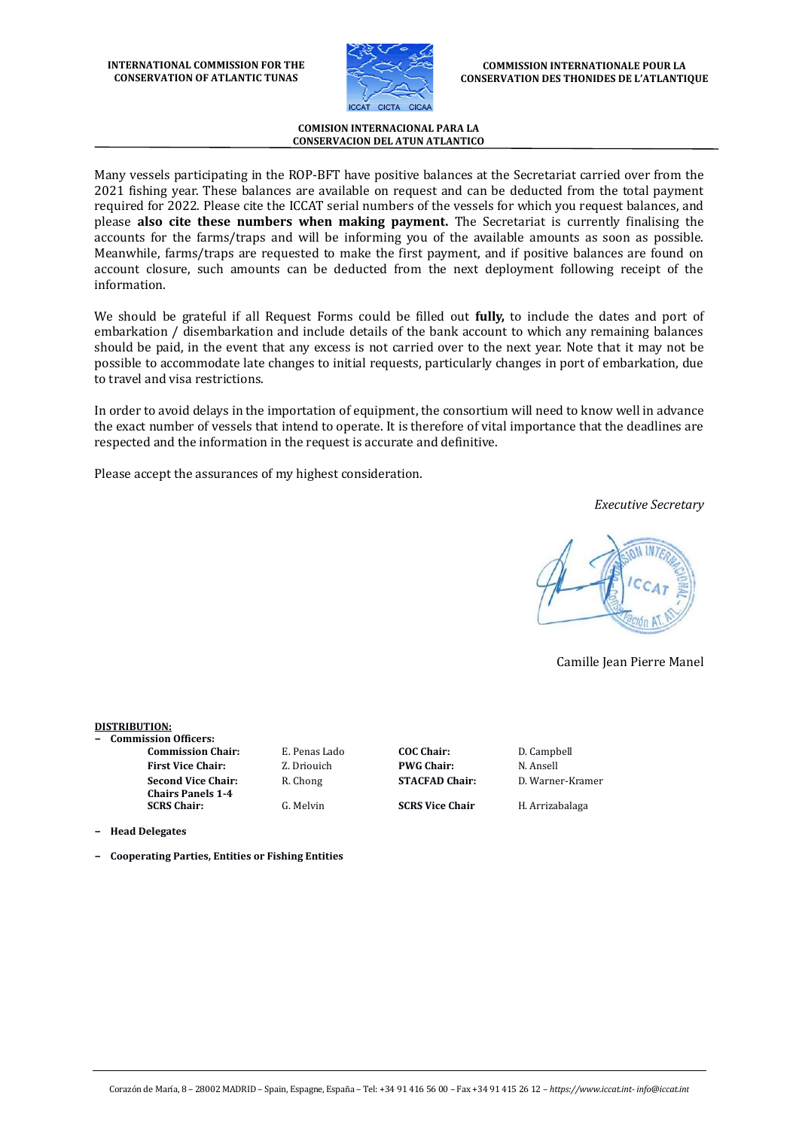

Many vessels participating in the ROP-BFT have positive balances at the Secretariat carried over from the 2021 fishing year. These balances are available on request and can be deducted from the total payment required for 2022. Please cite the ICCAT serial numbers of the vessels for which you request balances, and please **also cite these numbers when making payment.** The Secretariat is currently finalising the accounts for the farms/traps and will be informing you of the available amounts as soon as possible. Meanwhile, farms/traps are requested to make the first payment, and if positive balances are found on account closure, such amounts can be deducted from the next deployment following receipt of the information.

We should be grateful if all Request Forms could be filled out **fully,** to include the dates and port of embarkation / disembarkation and include details of the bank account to which any remaining balances should be paid, in the event that any excess is not carried over to the next year. Note that it may not be possible to accommodate late changes to initial requests, particularly changes in port of embarkation, due to travel and visa restrictions.

In order to avoid delays in the importation of equipment, the consortium will need to know well in advance the exact number of vessels that intend to operate. It is therefore of vital importance that the deadlines are respected and the information in the request is accurate and definitive.

Please accept the assurances of my highest consideration.

*Executive Secretary*

Camille Jean Pierre Manel

### **DISTRIBUTION:**

- **− Commission Officers:**
	- **First Vice Chair:** Z. Driouich **PWG Chair:** N. Ansell **Second Vice Chair: Chairs Panels 1-4**

**Commission Chair:** E. Penas Lado **COC Chair:** D. Campbell

R. Chong **STACFAD Chair:** D. Warner-Kramer

**SCRS Chair:** G. Melvin **SCRS Vice Chair** H. Arrizabalaga

**− Head Delegates**

**− Cooperating Parties, Entities or Fishing Entities**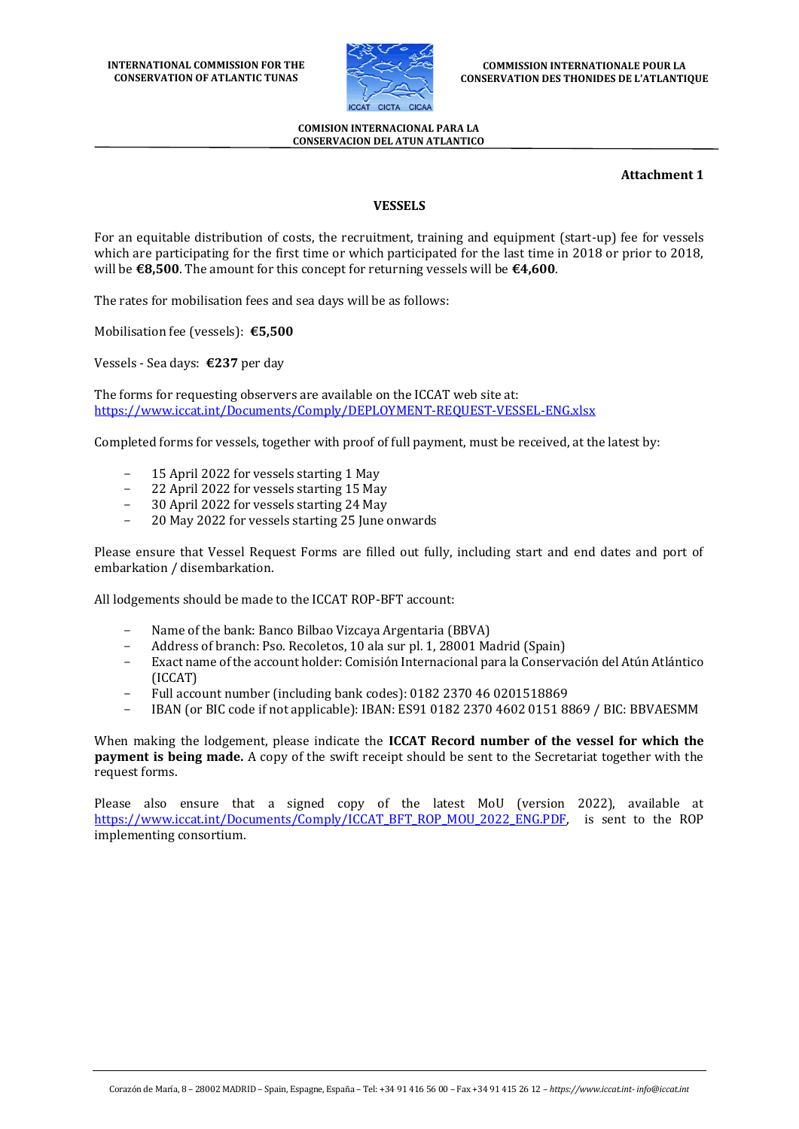

### **Attachment 1**

# **VESSELS**

For an equitable distribution of costs, the recruitment, training and equipment (start-up) fee for vessels which are participating for the first time or which participated for the last time in 2018 or prior to 2018, will be **€8,500**. The amount for this concept for returning vessels will be **€4,600**.

The rates for mobilisation fees and sea days will be as follows:

Mobilisation fee (vessels): **€5,500**

Vessels - Sea days: **€237** per day

The forms for requesting observers are available on the ICCAT web site at: <https://www.iccat.int/Documents/Comply/DEPLOYMENT-REQUEST-VESSEL-ENG.xlsx>

Completed forms for vessels, together with proof of full payment, must be received, at the latest by:

- 15 April 2022 for vessels starting 1 May
- 22 April 2022 for vessels starting 15 May
- 30 April 2022 for vessels starting 24 May
- 20 May 2022 for vessels starting 25 June onwards

Please ensure that Vessel Request Forms are filled out fully, including start and end dates and port of embarkation / disembarkation.

All lodgements should be made to the ICCAT ROP-BFT account:

- Name of the bank: Banco Bilbao Vizcaya Argentaria (BBVA)
- Address of branch: Pso. Recoletos, 10 ala sur pl. 1, 28001 Madrid (Spain)
- Exact name of the account holder: Comisión Internacional para la Conservación del Atún Atlántico (ICCAT)
- Full account number (including bank codes): 0182 2370 46 0201518869
- IBAN (or BIC code if not applicable): IBAN: ES91 0182 2370 4602 0151 8869 / BIC: BBVAESMM

When making the lodgement, please indicate the **ICCAT Record number of the vessel for which the payment is being made.** A copy of the swift receipt should be sent to the Secretariat together with the request forms.

Please also ensure that a signed copy of the latest MoU (version 2022), available at [https://www.iccat.int/Documents/Comply/ICCAT\\_BFT\\_ROP\\_MOU\\_2022\\_ENG.PDF,](https://www.iccat.int/Documents/Comply/ICCAT_BFT_ROP_MOU_2022_ENG.PDF) is sent to the ROP implementing consortium.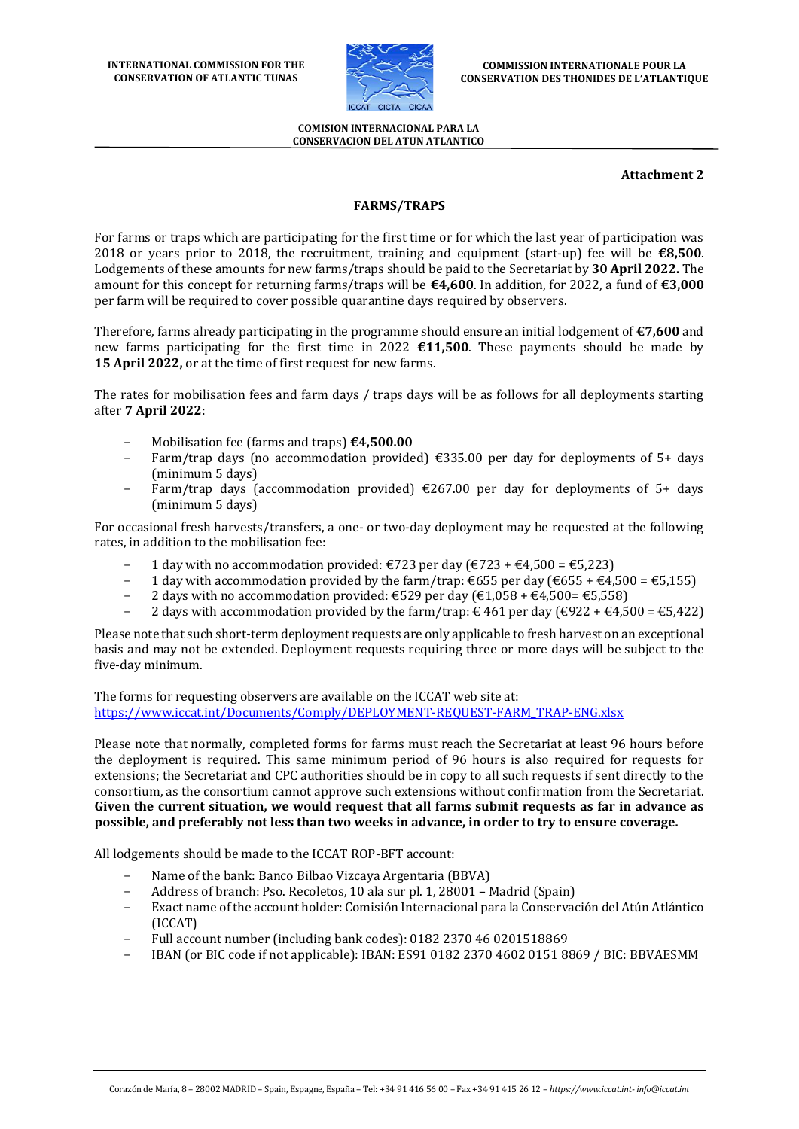

### **Attachment 2**

# **FARMS/TRAPS**

For farms or traps which are participating for the first time or for which the last year of participation was 2018 or years prior to 2018, the recruitment, training and equipment (start-up) fee will be **€8,500**. Lodgements of these amounts for new farms/traps should be paid to the Secretariat by **30 April 2022.** The amount for this concept for returning farms/traps will be **€4,600**. In addition, for 2022, a fund of **€3,000** per farm will be required to cover possible quarantine days required by observers.

Therefore, farms already participating in the programme should ensure an initial lodgement of **€7,600** and new farms participating for the first time in 2022 **€11,500**. These payments should be made by **15 April 2022,** or at the time of first request for new farms.

The rates for mobilisation fees and farm days / traps days will be as follows for all deployments starting after **7 April 2022**:

- Mobilisation fee (farms and traps) **€4,500.00**
- Farm/trap days (no accommodation provided)  $\epsilon$ 335.00 per day for deployments of 5+ days (minimum 5 days)
- Farm/trap days (accommodation provided)  $\epsilon$ 267.00 per day for deployments of 5+ days (minimum 5 days)

For occasional fresh harvests/transfers, a one- or two-day deployment may be requested at the following rates, in addition to the mobilisation fee:

- 1 day with no accommodation provided: €723 per day (€723 + €4,500 = €5,223)
- 1 day with accommodation provided by the farm/trap:  $\epsilon$ 655 per day ( $\epsilon$ 655 +  $\epsilon$ 4,500 =  $\epsilon$ 5,155)
- 2 days with no accommodation provided: €529 per day (€1,058 + €4,500= €5,558)
- 2 days with accommodation provided by the farm/trap:  $\in$  461 per day ( $\in$ 922 +  $\in$ 4,500 =  $\in$ 5,422)

Please note that such short-term deployment requests are only applicable to fresh harvest on an exceptional basis and may not be extended. Deployment requests requiring three or more days will be subject to the five-day minimum.

The forms for requesting observers are available on the ICCAT web site at: [https://www.iccat.int/Documents/Comply/DEPLOYMENT-REQUEST-FARM\\_TRAP-ENG.xlsx](https://www.iccat.int/Documents/Comply/DEPLOYMENT-REQUEST-FARM_TRAP-ENG.xlsx)

Please note that normally, completed forms for farms must reach the Secretariat at least 96 hours before the deployment is required. This same minimum period of 96 hours is also required for requests for extensions; the Secretariat and CPC authorities should be in copy to all such requests if sent directly to the consortium, as the consortium cannot approve such extensions without confirmation from the Secretariat. **Given the current situation, we would request that all farms submit requests as far in advance as possible, and preferably not less than two weeks in advance, in order to try to ensure coverage.** 

All lodgements should be made to the ICCAT ROP-BFT account:

- Name of the bank: Banco Bilbao Vizcaya Argentaria (BBVA)
- Address of branch: Pso. Recoletos, 10 ala sur pl. 1, 28001 Madrid (Spain)
- Exact name of the account holder: Comisión Internacional para la Conservación del Atún Atlántico (ICCAT)
- Full account number (including bank codes): 0182 2370 46 0201518869
- IBAN (or BIC code if not applicable): IBAN: ES91 0182 2370 4602 0151 8869 / BIC: BBVAESMM